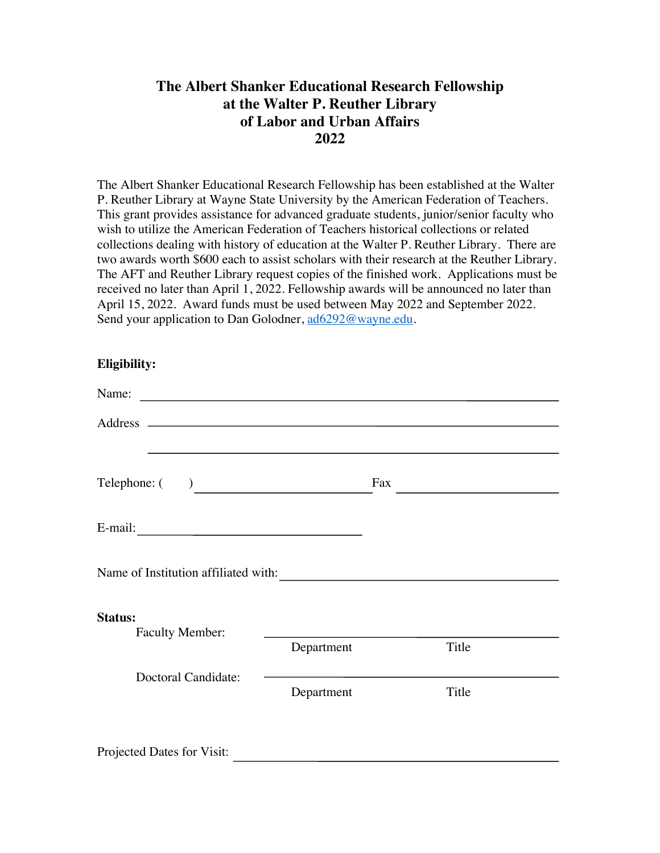## **The Albert Shanker Educational Research Fellowship at the Walter P. Reuther Library of Labor and Urban Affairs 2022**

The Albert Shanker Educational Research Fellowship has been established at the Walter P. Reuther Library at Wayne State University by the American Federation of Teachers. This grant provides assistance for advanced graduate students, junior/senior faculty who wish to utilize the American Federation of Teachers historical collections or related collections dealing with history of education at the Walter P. Reuther Library. There are two awards worth \$600 each to assist scholars with their research at the Reuther Library. The AFT and Reuther Library request copies of the finished work. Applications must be received no later than April 1, 2022. Fellowship awards will be announced no later than April 15, 2022. Award funds must be used between May 2022 and September 2022. Send your application to Dan Golodner, ad6292@wayne.edu.

## **Eligibility:**

| $\text{Telephone:} ( )$              |                                                                                          | Fax | <u> 1989 - Andrea Station Books, amerikansk politik (</u> |
|--------------------------------------|------------------------------------------------------------------------------------------|-----|-----------------------------------------------------------|
|                                      |                                                                                          |     |                                                           |
| Name of Institution affiliated with: |                                                                                          |     |                                                           |
| Status:<br><b>Faculty Member:</b>    | <u> 1989 - Johann Barbara, martxa alemaniar a</u><br>Department                          |     | Title                                                     |
| Doctoral Candidate:                  | the control of the control of the control of the control of the control of<br>Department |     | Title                                                     |
| Projected Dates for Visit:           |                                                                                          |     |                                                           |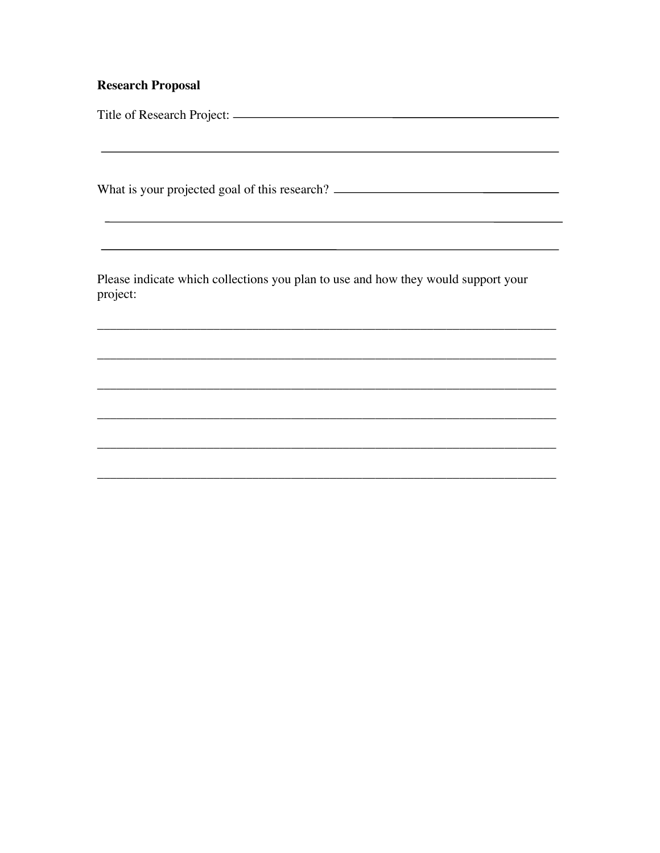## **Research Proposal**

What is your projected goal of this research? \_\_\_\_\_\_\_\_\_\_\_\_\_\_\_\_\_\_\_\_\_\_\_\_\_\_\_\_\_\_\_\_\_\_\_

Please indicate which collections you plan to use and how they would support your project: